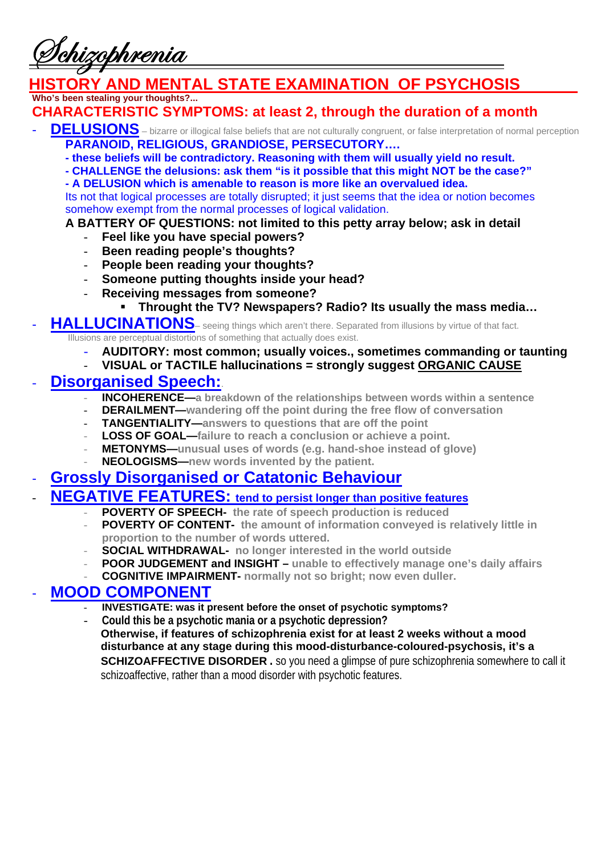ehizobhrenia

### *HIGRY AND MENTAL STATE EXAMINATION OF PSYCHOSIS* **Who's been stealing your thoughts?...**

# **CHARACTERISTIC SYMPTOMS: at least 2, through the duration of a month**

- DELUSIONS bizarre or illogical false beliefs that are not culturally congruent, or false interpretation of normal perception **PARANOID, RELIGIOUS, GRANDIOSE, PERSECUTORY….** 
	- **these beliefs will be contradictory. Reasoning with them will usually yield no result.**
	- **CHALLENGE the delusions: ask them "is it possible that this might NOT be the case?"**

**- A DELUSION which is amenable to reason is more like an overvalued idea.**  Its not that logical processes are totally disrupted; it just seems that the idea or notion becomes somehow exempt from the normal processes of logical validation.

### **A BATTERY OF QUESTIONS: not limited to this petty array below; ask in detail**

- **Feel like you have special powers?**
- **Been reading people's thoughts?**
- **People been reading your thoughts?**
- **Someone putting thoughts inside your head?**
- **Receiving messages from someone?** 
	- **Throught the TV? Newspapers? Radio? Its usually the mass media…**

### HALLUCINATIONS- seeing things which aren't there. Separated from illusions by virtue of that fact. Illusions are perceptual distortions of something that actually does exist.

- **AUDITORY: most common; usually voices., sometimes commanding or taunting**
- **VISUAL or TACTILE hallucinations = strongly suggest ORGANIC CAUSE**

### - **Disorganised Speech:**.

- **INCOHERENCE**—a breakdown of the relationships between words within a sentence
- **DERAILMENT—wandering off the point during the free flow of conversation**
- **TANGENTIALITY—answers to questions that are off the point**
- LOSS OF GOAL—failure to reach a conclusion or achieve a point.
- METONYMS-unusual uses of words (e.g. hand-shoe instead of glove)
- **NEOLOGISMS**—new words invented by the patient.

### - **Grossly Disorganised or Catatonic Behaviour**

# - **NEGATIVE FEATURES: tend to persist longer than positive features**

- **POVERTY OF SPEECH-** the rate of speech production is reduced
	- **POVERTY OF CONTENT-** the amount of information conveyed is relatively little in **proportion to the number of words uttered.**
	- **SOCIAL WITHDRAWAL-** no longer interested in the world outside
	- **POOR JUDGEMENT and INSIGHT unable to effectively manage one's daily affairs**
	- **COGNITIVE IMPAIRMENT- normally not so bright; now even duller.**

### **MOOD COMPONENT**

- **INVESTIGATE: was it present before the onset of psychotic symptoms?**
- **Could this be a psychotic mania or a psychotic depression?**

**Otherwise, if features of schizophrenia exist for at least 2 weeks without a mood disturbance at any stage during this mood-disturbance-coloured-psychosis, it's a SCHIZOAFFECTIVE DISORDER .** so you need a glimpse of pure schizophrenia somewhere to call it schizoaffective, rather than a mood disorder with psychotic features.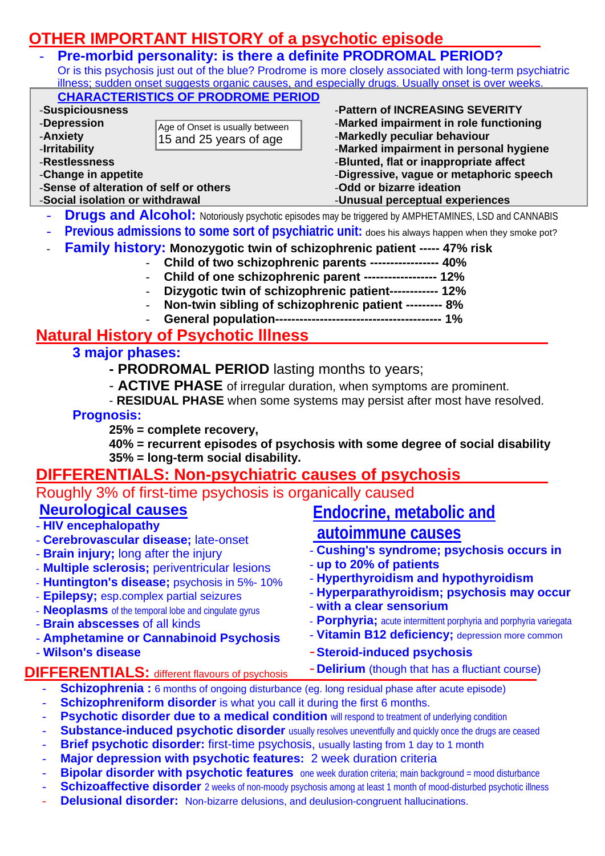# **OTHER IMPORTANT HISTORY of a psychotic episode**

15 and 25 years of age

- **Pre-morbid personality: is there a definite PRODROMAL PERIOD?**  Or is this psychosis just out of the blue? Prodrome is more closely associated with long-term psychiatric illness; sudden onset suggests organic causes, and especially drugs. Usually onset is over weeks. **CHARACTERISTICS OF PRODROME PERIOD** -**Suspiciousness**  -**Depression**  -**Pattern of INCREASING SEVERITY**  Age of Onset is usually between
- -**Anxiety**
- -**Irritability**
- -**Restlessness**
- -**Change in appetite**
- -**Sense of alteration of self or others**
- -**Social isolation or withdrawal**
- -**Marked impairment in role functioning**
- -**Markedly peculiar behaviour**
- -**Marked impairment in personal hygiene**
- -**Blunted, flat or inappropriate affect**
- -**Digressive, vague or metaphoric speech**
- -**Odd or bizarre ideation**
- -**Unusual perceptual experiences**
- **Drugs and Alcohol:** Notoriously psychotic episodes may be triggered by AMPHETAMINES, LSD and CANNABIS
- Previous admissions to some sort of psychiatric unit: does his always happen when they smoke pot?
- **Family history: Monozygotic twin of schizophrenic patient ----- 47% risk** 
	- **Child of two schizophrenic parents ----------------- 40%** 
		- **Child of one schizophrenic parent ------------------ 12%**
		- **Dizygotic twin of schizophrenic patient------------ 12%**
		- **Non-twin sibling of schizophrenic patient --------- 8%**
		- **General population----------------------------------------- 1%**

## **Natural History of Psychotic lllness**

- **3 major phases:** 
	- **PRODROMAL PERIOD** lasting months to years;
	- **ACTIVE PHASE** of irregular duration, when symptoms are prominent.
	- **RESIDUAL PHASE** when some systems may persist after most have resolved.

### **Prognosis:**

**25% = complete recovery,** 

**40% = recurrent episodes of psychosis with some degree of social disability 35% = long-term social disability.** 

# **DIFFERENTIALS: Non-psychiatric causes of psychosis**

| <u>טוט ובוואר וט טטטטטט שטעטענונט נטארוווארו וואס</u>                                                                                                                                                                                                                                                                                                                                           |
|-------------------------------------------------------------------------------------------------------------------------------------------------------------------------------------------------------------------------------------------------------------------------------------------------------------------------------------------------------------------------------------------------|
| Roughly 3% of first-time psychosis is organically caused                                                                                                                                                                                                                                                                                                                                        |
| Endocrine, metabolic and<br>autoimmune causes<br>- Cushing's syndrome; psychosis occurs in<br>- up to 20% of patients<br>- Hyperthyroidism and hypothyroidism<br>- Hyperparathyroidism; psychosis may occur<br>- with a clear sensorium<br>- Porphyria; acute intermittent porphyria and porphyria variegata<br>- Vitamin B12 deficiency; depression more common<br>- Steroid-induced psychosis |
| - <b>Delirium</b> (though that has a fluctiant course)                                                                                                                                                                                                                                                                                                                                          |
| <b>Schizophrenia:</b> 6 months of ongoing disturbance (eg. long residual phase after acute episode)<br>Schizophreniform disorder is what you call it during the first 6 months.                                                                                                                                                                                                                 |
|                                                                                                                                                                                                                                                                                                                                                                                                 |

- Psychotic disorder due to a medical condition will respond to treatment of underlying condition
- **Substance-induced psychotic disorder** usually resolves uneventfully and quickly once the drugs are ceased
- **Brief psychotic disorder:** first-time psychosis, usually lasting from 1 day to 1 month
- **Major depression with psychotic features:** 2 week duration criteria
- **Bipolar disorder with psychotic features** one week duration criteria; main background = mood disturbance
- **Schizoaffective disorder** 2 weeks of non-moody psychosis among at least 1 month of mood-disturbed psychotic illness
- **Delusional disorder:** Non-bizarre delusions, and deulusion-congruent hallucinations.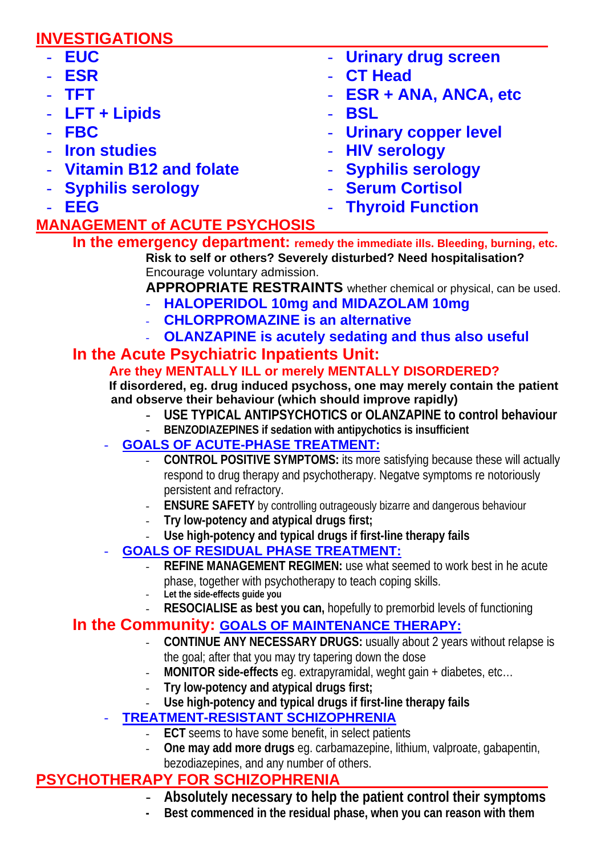# **INVESTIGATIONS**

| - EUC                    | - Urinary drug screen  |
|--------------------------|------------------------|
| - ESR                    | - CT Head              |
| - TFT                    | - ESR + ANA, ANCA, etc |
| - $LFT + Lipids$         | - BSL                  |
| $-$ FBC                  | - Urinary copper level |
| - Iron studies           | - HIV serology         |
| - Vitamin B12 and folate | - Syphilis serology    |
| - Syphilis serology      | - Serum Cortisol       |
| $-$ EEG                  | - Thyroid Function     |

# **MANAGEMENT of ACUTE PSYCHOSIS**

**In the emergency department: remedy the immediate ills. Bleeding, burning, etc. Risk to self or others? Severely disturbed? Need hospitalisation?**  Encourage voluntary admission.

**APPROPRIATE RESTRAINTS** whether chemical or physical, can be used.

- **HALOPERIDOL 10mg and MIDAZOLAM 10mg**
- **CHLORPROMAZINE is an alternative**
- **OLANZAPINE is acutely sedating and thus also useful**

# **In the Acute Psychiatric Inpatients Unit:**<br>Are they MENTALLY ILL or merely MENTALLY DISORDERED?

 **If disordered, eg. drug induced psychoss, one may merely contain the patient and observe their behaviour (which should improve rapidly)** 

- **USE TYPICAL ANTIPSYCHOTICS or OLANZAPINE to control behaviour**
- **BENZODIAZEPINES if sedation with antipychotics is insufficient**
- **GOALS OF ACUTE-PHASE TREATMENT:**
	- **CONTROL POSITIVE SYMPTOMS:** its more satisfying because these will actually respond to drug therapy and psychotherapy. Negatve symptoms re notoriously persistent and refractory.
	- **ENSURE SAFETY** by controlling outrageously bizarre and dangerous behaviour
	- **Try low-potency and atypical drugs first;**
	- **Use high-potency and typical drugs if first-line therapy fails**
- **GOALS OF RESIDUAL PHASE TREATMENT:**
	- **REFINE MANAGEMENT REGIMEN:** use what seemed to work best in he acute phase, together with psychotherapy to teach coping skills.
	- **Let the side-effects guide you** 
		- **RESOCIALISE as best you can, hopefully to premorbid levels of functioning**

### **In the Community: GOALS OF MAINTENANCE THERAPY:**

- **CONTINUE ANY NECESSARY DRUGS:** usually about 2 years without relapse is the goal; after that you may try tapering down the dose
	- **MONITOR side-effects** eg. extrapyramidal, weght gain + diabetes, etc…
- **Try low-potency and atypical drugs first;**
- **Use high-potency and typical drugs if first-line therapy fails**

# - **TREATMENT-RESISTANT SCHIZOPHRENIA**

- **ECT** seems to have some benefit, in select patients
- **One may add more drugs** eg. carbamazepine, lithium, valproate, gabapentin, bezodiazepines, and any number of others.

# **PSYCHOTHERAPY FOR SCHIZOPHRENIA**

- **Absolutely necessary to help the patient control their symptoms**
- Best commenced in the residual phase, when you can reason with them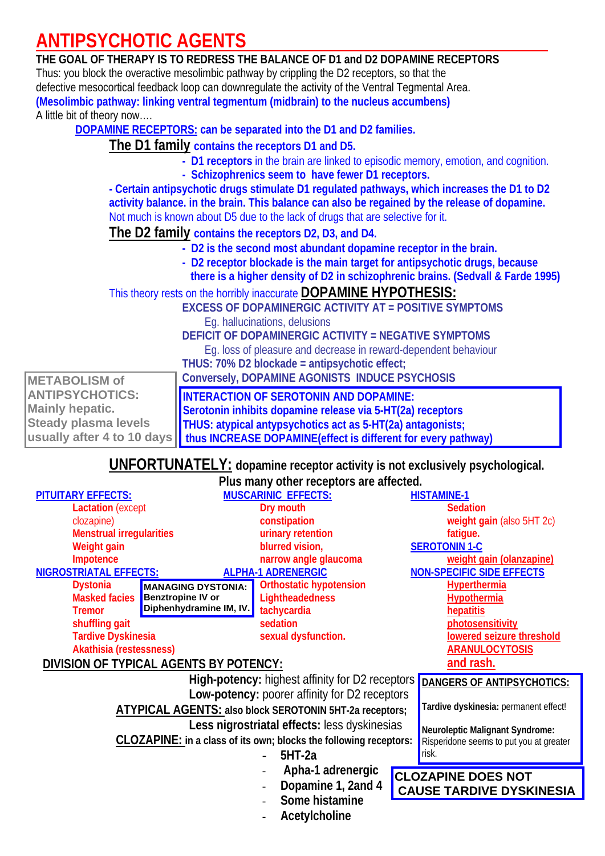# **ANTIPSYCHOTIC AGENTS**

### **THE GOAL OF THERAPY IS TO REDRESS THE BALANCE OF D1 and D2 DOPAMINE RECEPTORS**  Thus: you block the overactive mesolimbic pathway by crippling the D2 receptors, so that the defective mesocortical feedback loop can downregulate the activity of the Ventral Tegmental Area. **(Mesolimbic pathway: linking ventral tegmentum (midbrain) to the nucleus accumbens)** A little bit of theory now….  **DOPAMINE RECEPTORS: can be separated into the D1 and D2 families. The D1 family contains the receptors D1 and D5. - D1 receptors** in the brain are linked to episodic memory, emotion, and cognition. **- Schizophrenics seem to have fewer D1 receptors.**

**- Certain antipsychotic drugs stimulate D1 regulated pathways, which increases the D1 to D2 activity balance. in the brain. This balance can also be regained by the release of dopamine.**  Not much is known about D5 due to the lack of drugs that are selective for it.

 **The D2 family contains the receptors D2, D3, and D4.** 

- **D2 is the second most abundant dopamine receptor in the brain.**
- **D2 receptor blockade is the main target for antipsychotic drugs, because there is a higher density of D2 in schizophrenic brains. (Sedvall & Farde 1995)**

This theory rests on the horribly inaccurate **DOPAMINE HYPOTHESIS:**

**EXCESS OF DOPAMINERGIC ACTIVITY AT = POSITIVE SYMPTOMS** Eg. hallucinations, delusions **DEFICIT OF DOPAMINERGIC ACTIVITY = NEGATIVE SYMPTOMS** 

Eg. loss of pleasure and decrease in reward-dependent behaviour **THUS: 70% D2 blockade = antipsychotic effect;** 

|                             | THUS: 10% DZ DIOCKade = antipsycholic effect;                                              |
|-----------------------------|--------------------------------------------------------------------------------------------|
| <b>METABOLISM of</b>        | Conversely, DOPAMINE AGONISTS INDUCE PSYCHOSIS                                             |
| <b>ANTIPSYCHOTICS:</b>      | <b>INTERACTION OF SEROTONIN AND DOPAMINE:</b>                                              |
| <b>Mainly hepatic.</b>      | Serotonin inhibits dopamine release via 5-HT(2a) receptors                                 |
| <b>Steady plasma levels</b> | <b>THUS: atypical antypsychotics act as 5-HT(2a) antagonists;</b>                          |
|                             | usually after 4 to 10 days   thus INCREASE DOPAMINE(effect is different for every pathway) |

 **UNFORTUNATELY: dopamine receptor activity is not exclusively psychological.** 

|                                 |                                        | Plus many other receptors are affected.                                  |                    |                                         |
|---------------------------------|----------------------------------------|--------------------------------------------------------------------------|--------------------|-----------------------------------------|
| <b>PITUITARY EFFECTS:</b>       |                                        | <b>MUSCARINIC EFFECTS:</b>                                               | <b>HISTAMINE-1</b> |                                         |
| <b>Lactation</b> (except        |                                        | Dry mouth                                                                |                    | <b>Sedation</b>                         |
| clozapine)                      |                                        | constipation                                                             |                    | weight gain (also 5HT 2c)               |
| <b>Menstrual irregularities</b> |                                        | urinary retention                                                        |                    | fatigue.                                |
| Weight gain                     |                                        | blurred vision,                                                          |                    | <b>SEROTONIN 1-C</b>                    |
| Impotence                       |                                        | narrow angle glaucoma                                                    |                    | weight gain (olanzapine)                |
| <b>NIGROSTRIATAL EFFECTS:</b>   |                                        | <b>ALPHA-1 ADRENERGIC</b>                                                |                    | <b>NON-SPECIFIC SIDE EFFECTS</b>        |
| <b>Dystonia</b>                 | <b>MANAGING DYSTONIA:</b>              | <b>Orthostatic hypotension</b>                                           |                    | <b>Hyperthermia</b>                     |
| Masked facies                   | <b>Benztropine IV or</b>               | Lightheadedness                                                          |                    | <b>Hypothermia</b>                      |
| <b>Tremor</b>                   | Diphenhydramine IM, IV.                | tachycardia                                                              |                    | hepatitis                               |
| shuffling gait                  |                                        | sedation                                                                 |                    | photosensitivity                        |
| <b>Tardive Dyskinesia</b>       |                                        | sexual dysfunction.                                                      |                    | lowered seizure threshold               |
| <b>Akathisia (restessness)</b>  |                                        |                                                                          |                    | <b>ARANULOCYTOSIS</b>                   |
|                                 | DIVISION OF TYPICAL AGENTS BY POTENCY: |                                                                          |                    | and rash.                               |
|                                 |                                        | <b>High-potency: highest affinity for D2 receptors</b>                   |                    | DANGERS OF ANTIPSYCHOTICS:              |
|                                 |                                        | Low-potency: poorer affinity for D2 receptors                            |                    |                                         |
|                                 |                                        | ATYPICAL AGENTS: also block SEROTONIN 5HT-2a receptors;                  |                    | Tardive dyskinesia: permanent effect!   |
|                                 |                                        | Less nigrostriatal effects: less dyskinesias                             |                    | Neuroleptic Malignant Syndrome:         |
|                                 |                                        | <b>CLOZAPINE:</b> in a class of its own; blocks the following receptors: |                    | Risperidone seems to put you at greater |
|                                 |                                        | $5HT-2a$                                                                 | risk.              |                                         |
|                                 |                                        | Apha-1 adrenergic                                                        |                    | <b>CLOZAPINE DOES NOT</b>               |
|                                 |                                        | Dopamine 1, 2and 4                                                       |                    |                                         |
|                                 |                                        | Some histamine                                                           |                    | <b>CAUSE TARDIVE DYSKINESIA</b>         |
|                                 |                                        |                                                                          |                    |                                         |
|                                 |                                        | Acetylcholine                                                            |                    |                                         |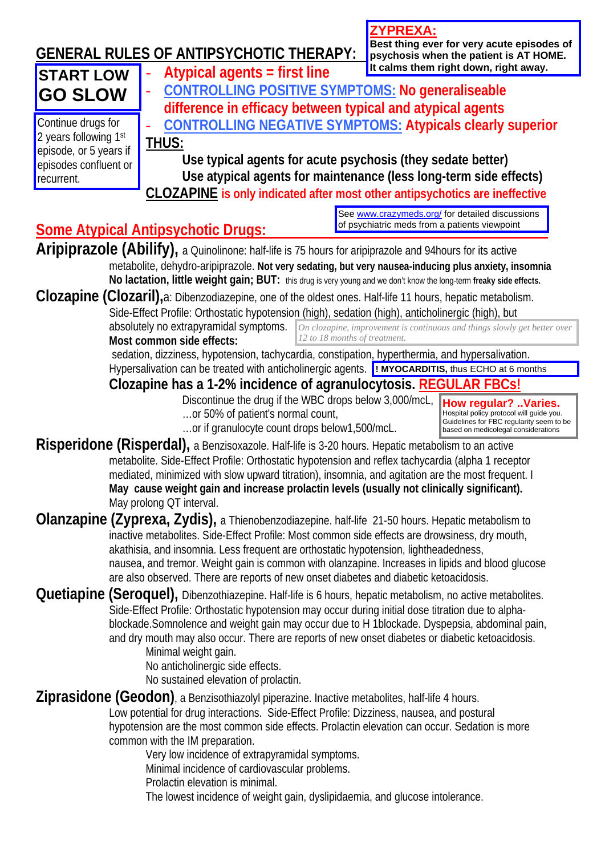|                                                 | <b>GENERAL RULES OF ANTIPSYCHOTIC THERAPY:</b>                                                                                                                                                                                                                                                                                                                                                                                                                                                                           | <u>ZYPREXA:</u><br>Best thing ever for very acute episodes of<br>psychosis when the patient is AT HOME.                                             |
|-------------------------------------------------|--------------------------------------------------------------------------------------------------------------------------------------------------------------------------------------------------------------------------------------------------------------------------------------------------------------------------------------------------------------------------------------------------------------------------------------------------------------------------------------------------------------------------|-----------------------------------------------------------------------------------------------------------------------------------------------------|
| <b>START LOW</b>                                | Atypical agents = first line                                                                                                                                                                                                                                                                                                                                                                                                                                                                                             | It calms them right down, right away.                                                                                                               |
| <b>GO SLOW</b>                                  | <b>CONTROLLING POSITIVE SYMPTOMS: No generaliseable</b>                                                                                                                                                                                                                                                                                                                                                                                                                                                                  |                                                                                                                                                     |
|                                                 | difference in efficacy between typical and atypical agents                                                                                                                                                                                                                                                                                                                                                                                                                                                               |                                                                                                                                                     |
| Continue drugs for                              | <b>CONTROLLING NEGATIVE SYMPTOMS: Atypicals clearly superior</b>                                                                                                                                                                                                                                                                                                                                                                                                                                                         |                                                                                                                                                     |
| 2 years following 1st<br>episode, or 5 years if | THUS:                                                                                                                                                                                                                                                                                                                                                                                                                                                                                                                    |                                                                                                                                                     |
| episodes confluent or                           | Use typical agents for acute psychosis (they sedate better)                                                                                                                                                                                                                                                                                                                                                                                                                                                              |                                                                                                                                                     |
| recurrent.                                      | Use atypical agents for maintenance (less long-term side effects)                                                                                                                                                                                                                                                                                                                                                                                                                                                        |                                                                                                                                                     |
|                                                 | <b>CLOZAPINE</b> is only indicated after most other antipsychotics are ineffective                                                                                                                                                                                                                                                                                                                                                                                                                                       |                                                                                                                                                     |
|                                                 | <b>Some Atypical Antipsychotic Drugs:</b>                                                                                                                                                                                                                                                                                                                                                                                                                                                                                | See www.crazymeds.org/ for detailed discussions<br>of psychiatric meds from a patients viewpoint                                                    |
|                                                 | Aripiprazole (Abilify), a Quinolinone: half-life is 75 hours for aripiprazole and 94 hours for its active                                                                                                                                                                                                                                                                                                                                                                                                                |                                                                                                                                                     |
|                                                 | metabolite, dehydro-aripiprazole. Not very sedating, but very nausea-inducing plus anxiety, insomnia                                                                                                                                                                                                                                                                                                                                                                                                                     |                                                                                                                                                     |
|                                                 | No lactation, little weight gain; BUT: this drug is very young and we don't know the long-term freaky side effects.                                                                                                                                                                                                                                                                                                                                                                                                      |                                                                                                                                                     |
|                                                 | Clozapine (Clozaril), a: Dibenzodiazepine, one of the oldest ones. Half-life 11 hours, hepatic metabolism.                                                                                                                                                                                                                                                                                                                                                                                                               |                                                                                                                                                     |
|                                                 | Side-Effect Profile: Orthostatic hypotension (high), sedation (high), anticholinergic (high), but                                                                                                                                                                                                                                                                                                                                                                                                                        |                                                                                                                                                     |
|                                                 | absolutely no extrapyramidal symptoms.<br>12 to 18 months of treatment.<br>Most common side effects:                                                                                                                                                                                                                                                                                                                                                                                                                     | On clozapine, improvement is continuous and things slowly get better over                                                                           |
|                                                 | sedation, dizziness, hypotension, tachycardia, constipation, hyperthermia, and hypersalivation.                                                                                                                                                                                                                                                                                                                                                                                                                          |                                                                                                                                                     |
|                                                 | Hypersalivation can be treated with anticholinergic agents. <b>I MYOCARDITIS</b> , thus ECHO at 6 months                                                                                                                                                                                                                                                                                                                                                                                                                 |                                                                                                                                                     |
|                                                 | Clozapine has a 1-2% incidence of agranulocytosis. REGU                                                                                                                                                                                                                                                                                                                                                                                                                                                                  |                                                                                                                                                     |
|                                                 | Discontinue the drug if the WBC drops below 3,000/mcL,<br>or 50% of patient's normal count,<br>or if granulocyte count drops below1,500/mcL.                                                                                                                                                                                                                                                                                                                                                                             | How regular? Varies.<br>Hospital policy protocol will guide you.<br>Guidelines for FBC regularity seem to be<br>based on medicolegal considerations |
|                                                 | Risperidone (Risperdal), a Benzisoxazole. Half-life is 3-20 hours. Hepatic metabolism to an active                                                                                                                                                                                                                                                                                                                                                                                                                       |                                                                                                                                                     |
|                                                 | metabolite. Side-Effect Profile: Orthostatic hypotension and reflex tachycardia (alpha 1 receptor<br>mediated, minimized with slow upward titration), insomnia, and agitation are the most frequent. I<br>May cause weight gain and increase prolactin levels (usually not clinically significant).<br>May prolong QT interval.                                                                                                                                                                                          |                                                                                                                                                     |
|                                                 | Olanzapine (Zyprexa, Zydis), a Thienobenzodiazepine. half-life 21-50 hours. Hepatic metabolism to                                                                                                                                                                                                                                                                                                                                                                                                                        |                                                                                                                                                     |
|                                                 | inactive metabolites. Side-Effect Profile: Most common side effects are drowsiness, dry mouth,<br>akathisia, and insomnia. Less frequent are orthostatic hypotension, lightheadedness,<br>nausea, and tremor. Weight gain is common with olanzapine. Increases in lipids and blood glucose<br>are also observed. There are reports of new onset diabetes and diabetic ketoacidosis.                                                                                                                                      |                                                                                                                                                     |
|                                                 | Quetiapine (Seroquel), Dibenzothiazepine. Half-life is 6 hours, hepatic metabolism, no active metabolites.<br>Side-Effect Profile: Orthostatic hypotension may occur during initial dose titration due to alpha-<br>blockade. Somnolence and weight gain may occur due to H 1blockade. Dyspepsia, abdominal pain,<br>and dry mouth may also occur. There are reports of new onset diabetes or diabetic ketoacidosis.<br>Minimal weight gain.<br>No anticholinergic side effects.<br>No sustained elevation of prolactin. |                                                                                                                                                     |
|                                                 | Ziprasidone (Geodon), a Benzisothiazolyl piperazine. Inactive metabolites, half-life 4 hours.                                                                                                                                                                                                                                                                                                                                                                                                                            |                                                                                                                                                     |
|                                                 | Low potential for drug interactions. Side-Effect Profile: Dizziness, nausea, and postural<br>hypotension are the most common side effects. Prolactin elevation can occur. Sedation is more<br>common with the IM preparation.<br>Very low incidence of extrapyramidal symptoms.                                                                                                                                                                                                                                          |                                                                                                                                                     |
|                                                 | Minimal incidence of cardiovascular problems.                                                                                                                                                                                                                                                                                                                                                                                                                                                                            |                                                                                                                                                     |
|                                                 | Prolactin elevation is minimal.<br>The lowest incidence of weight gain, dyslipidaemia, and glucose intolerance.                                                                                                                                                                                                                                                                                                                                                                                                          |                                                                                                                                                     |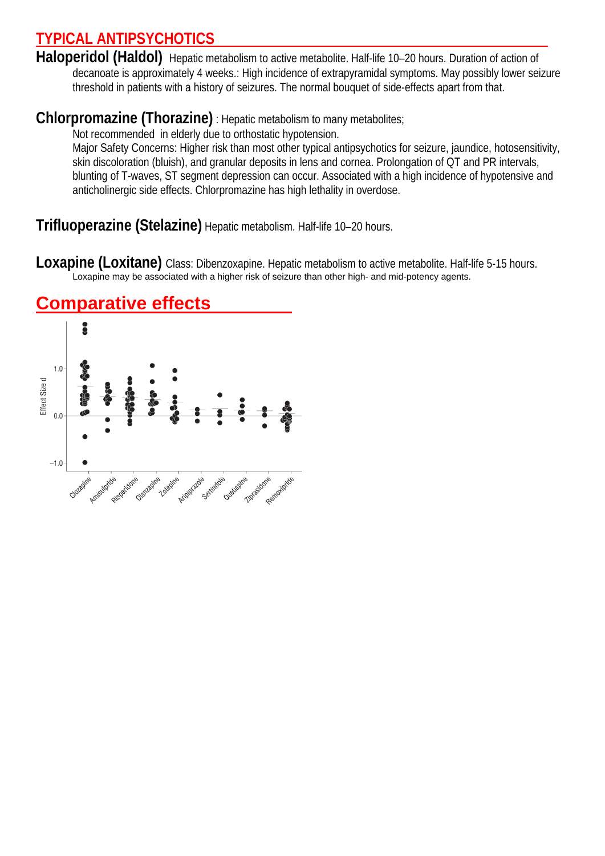# **TYPICAL ANTIPSYCHOTICS**

Haloperidol (Haldol) Hepatic metabolism to active metabolite. Half-life 10-20 hours. Duration of action of decanoate is approximately 4 weeks.: High incidence of extrapyramidal symptoms. May possibly lower seizure threshold in patients with a history of seizures. The normal bouquet of side-effects apart from that.

# **Chlorpromazine (Thorazine)** : Hepatic metabolism to many metabolites;

Not recommended in elderly due to orthostatic hypotension.

Major Safety Concerns: Higher risk than most other typical antipsychotics for seizure, jaundice, hotosensitivity, skin discoloration (bluish), and granular deposits in lens and cornea. Prolongation of QT and PR intervals, blunting of T-waves, ST segment depression can occur. Associated with a high incidence of hypotensive and anticholinergic side effects. Chlorpromazine has high lethality in overdose.

**Trifluoperazine (Stelazine)** Hepatic metabolism. Half-life 10–20 hours.

**Loxapine (Loxitane)** Class: Dibenzoxapine. Hepatic metabolism to active metabolite. Half-life 5-15 hours. Loxapine may be associated with a higher risk of seizure than other high- and mid-potency agents.



# **Comparative effects**